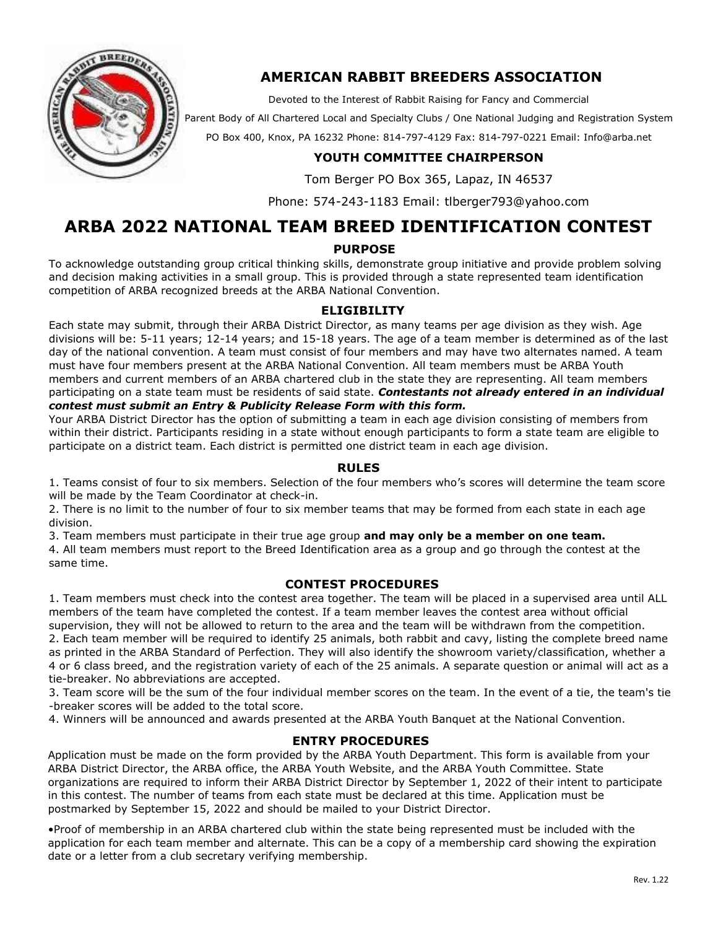

## **AMERICAN RABBIT BREEDERS ASSOCIATION**

Devoted to the Interest of Rabbit Raising for Fancy and Commercial

Parent Body of All Chartered Local and Specialty Clubs / One National Judging and Registration System

PO Box 400, Knox, PA 16232 Phone: 814-797-4129 Fax: 814-797-0221 Email: Info@arba.net

## **YOUTH COMMITTEE CHAIRPERSON**

Tom Berger PO Box 365, Lapaz, IN 46537

Phone: 574-243-1183 Email: tlberger793@yahoo.com

# **ARBA 2022 NATIONAL TEAM BREED IDENTIFICATION CONTEST**

#### **PURPOSE**

To acknowledge outstanding group critical thinking skills, demonstrate group initiative and provide problem solving and decision making activities in a small group. This is provided through a state represented team identification competition of ARBA recognized breeds at the ARBA National Convention.

### **ELIGIBILITY**

Each state may submit, through their ARBA District Director, as many teams per age division as they wish. Age divisions will be: 5-11 years; 12-14 years; and 15-18 years. The age of a team member is determined as of the last day of the national convention. A team must consist of four members and may have two alternates named. A team must have four members present at the ARBA National Convention. All team members must be ARBA Youth members and current members of an ARBA chartered club in the state they are representing. All team members participating on a state team must be residents of said state. *Contestants not already entered in an individual* 

#### *contest must submit an Entry & Publicity Release Form with this form.*

Your ARBA District Director has the option of submitting a team in each age division consisting of members from within their district. Participants residing in a state without enough participants to form a state team are eligible to participate on a district team. Each district is permitted one district team in each age division.

#### **RULES**

1. Teams consist of four to six members. Selection of the four members who's scores will determine the team score will be made by the Team Coordinator at check-in.

2. There is no limit to the number of four to six member teams that may be formed from each state in each age division.

3. Team members must participate in their true age group **and may only be a member on one team.** 

4. All team members must report to the Breed Identification area as a group and go through the contest at the same time.

#### **CONTEST PROCEDURES**

1. Team members must check into the contest area together. The team will be placed in a supervised area until ALL members of the team have completed the contest. If a team member leaves the contest area without official supervision, they will not be allowed to return to the area and the team will be withdrawn from the competition. 2. Each team member will be required to identify 25 animals, both rabbit and cavy, listing the complete breed name as printed in the ARBA Standard of Perfection. They will also identify the showroom variety/classification, whether a 4 or 6 class breed, and the registration variety of each of the 25 animals. A separate question or animal will act as a tie-breaker. No abbreviations are accepted.

3. Team score will be the sum of the four individual member scores on the team. In the event of a tie, the team's tie -breaker scores will be added to the total score.

4. Winners will be announced and awards presented at the ARBA Youth Banquet at the National Convention.

### **ENTRY PROCEDURES**

Application must be made on the form provided by the ARBA Youth Department. This form is available from your ARBA District Director, the ARBA office, the ARBA Youth Website, and the ARBA Youth Committee. State organizations are required to inform their ARBA District Director by September 1, 2022 of their intent to participate in this contest. The number of teams from each state must be declared at this time. Application must be postmarked by September 15, 2022 and should be mailed to your District Director.

•Proof of membership in an ARBA chartered club within the state being represented must be included with the application for each team member and alternate. This can be a copy of a membership card showing the expiration date or a letter from a club secretary verifying membership.